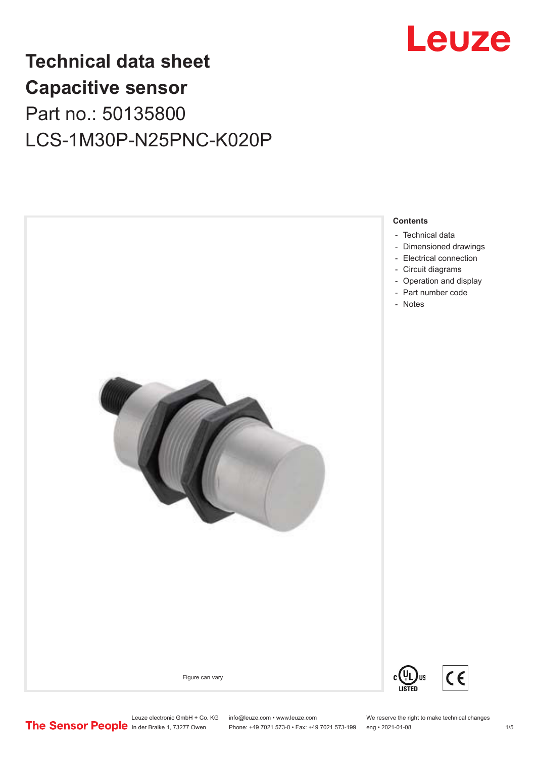

# **Technical data sheet Capacitive sensor** Part no.: 50135800 LCS-1M30P-N25PNC-K020P



Leuze electronic GmbH + Co. KG info@leuze.com • www.leuze.com We reserve the right to make technical changes<br>
The Sensor People in der Braike 1, 73277 Owen Phone: +49 7021 573-0 • Fax: +49 7021 573-199 eng • 2021-01-08 Phone: +49 7021 573-0 • Fax: +49 7021 573-199 eng • 2021-01-08 1 /5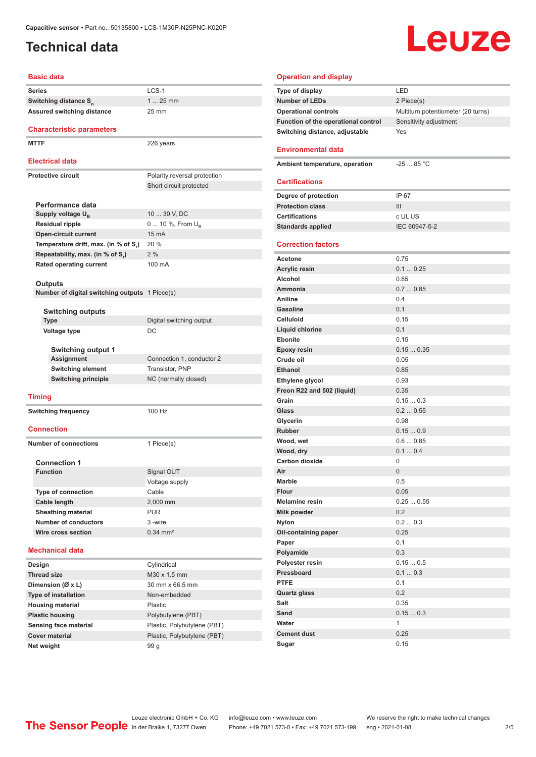### <span id="page-1-0"></span>**Technical data**

# **Leuze**

### **Basic data**

| Dasit uala                                     |                              |
|------------------------------------------------|------------------------------|
| Series                                         | LCS-1                        |
| Switching distance S <sub>n</sub>              | $125$ mm                     |
| Assured switching distance                     | 25 mm                        |
| <b>Characteristic parameters</b>               |                              |
| <b>MTTF</b>                                    | 226 years                    |
| <b>Electrical data</b>                         |                              |
| <b>Protective circuit</b>                      | Polarity reversal protection |
|                                                | Short circuit protected      |
|                                                |                              |
| Performance data                               |                              |
| Supply voltage U <sub>R</sub>                  | 10  30 V, DC                 |
| <b>Residual ripple</b>                         | 0  10 %, From U <sub>B</sub> |
| <b>Open-circuit current</b>                    | 15 mA                        |
| Temperature drift, max. (in % of S.)           | 20 %                         |
| Repeatability, max. (in % of S.)               | 2%                           |
| <b>Rated operating current</b>                 | 100 mA                       |
|                                                |                              |
| Outputs                                        |                              |
| Number of digital switching outputs 1 Piece(s) |                              |
|                                                |                              |
| Switching outputs<br><b>Type</b>               | Digital switching output     |
| Voltage type                                   | DC                           |
|                                                |                              |
| <b>Switching output 1</b>                      |                              |
| Assignment                                     | Connection 1, conductor 2    |
| <b>Switching element</b>                       | Transistor, PNP              |
| <b>Switching principle</b>                     | NC (normally closed)         |
|                                                |                              |
| <b>Timing</b>                                  |                              |
| <b>Switching frequency</b>                     | 100 Hz                       |
|                                                |                              |
| <b>Connection</b>                              |                              |
|                                                |                              |
| <b>Number of connections</b>                   | 1 Piece(s)                   |
| <b>Connection 1</b>                            |                              |
| <b>Function</b>                                | Signal OUT                   |
|                                                | Voltage supply               |
| <b>Type of connection</b>                      | Cable                        |
| Cable length                                   | 2,000 mm                     |
| <b>Sheathing material</b>                      | <b>PUR</b>                   |
| <b>Number of conductors</b>                    | 3-wire                       |
| Wire cross section                             | $0.34 \, \text{mm}^2$        |
|                                                |                              |
| <b>Mechanical data</b>                         |                              |
| Design                                         | Cylindrical                  |
| <b>Thread size</b>                             | M30 x 1.5 mm                 |
| Dimension (Ø x L)                              | 30 mm x 66.5 mm              |
| <b>Type of installation</b>                    | Non-embedded                 |
| <b>Housing material</b>                        | Plastic                      |
| <b>Plastic housing</b>                         | Polybutylene (PBT)           |
| Sensing face material                          | Plastic, Polybutylene (PBT)  |
| <b>Cover material</b>                          | Plastic, Polybutylene (PBT)  |
|                                                |                              |

| <b>Operation and display</b>        |                                    |
|-------------------------------------|------------------------------------|
| <b>Type of display</b>              | LED                                |
| <b>Number of LEDs</b>               | 2 Piece(s)                         |
| <b>Operational controls</b>         | Multiturn potentiometer (20 turns) |
| Function of the operational control | Sensitivity adjustment             |
| Switching distance, adjustable      | Yes                                |
|                                     |                                    |
| <b>Environmental data</b>           |                                    |
| Ambient temperature, operation      | $-25$ 85 °C                        |
|                                     |                                    |
| <b>Certifications</b>               |                                    |
| Degree of protection                | IP 67                              |
| <b>Protection class</b>             | Ш                                  |
| <b>Certifications</b>               | c UL US                            |
| <b>Standards applied</b>            | IEC 60947-5-2                      |
|                                     |                                    |
| <b>Correction factors</b>           |                                    |
| Acetone                             | 0.75                               |
| <b>Acrylic resin</b>                | 0.10.25                            |
| Alcohol                             | 0.85                               |
| Ammonia                             | 0.70.85                            |
| Aniline                             | 0.4                                |
| <b>Gasoline</b>                     | 0.1                                |
| <b>Celluloid</b>                    | 0.15                               |
| Liquid chlorine                     | 0.1                                |
| <b>Ebonite</b>                      | 0.15                               |
| <b>Epoxy resin</b>                  | 0.150.35                           |
| Crude oil                           | 0.05                               |
| <b>Ethanol</b>                      | 0.85                               |
| Ethylene glycol                     | 0.93                               |
| Freon R22 and 502 (liquid)          | 0.35                               |
| Grain                               | 0.150.3                            |
| Glass                               | 0.20.55                            |
| Glycerin                            | 0.98                               |
| <b>Rubber</b>                       | 0.150.9                            |
| Wood, wet                           | 0.60.85<br>0.10.4                  |
| Wood, dry<br><b>Carbon dioxide</b>  | 0                                  |
| Air                                 | 0                                  |
| Marble                              | 0.5                                |
| <b>Flour</b>                        | 0.05                               |
| <b>Melamine resin</b>               | 0.250.55                           |
| Milk powder                         | 0.2                                |
| <b>Nylon</b>                        | 0.20.3                             |
| Oil-containing paper                | 0.25                               |
| Paper                               | 0.1                                |
| Polyamide                           | 0.3                                |
| Polyester resin                     | 0.150.5                            |
| Pressboard                          | 0.10.3                             |
| <b>PTFE</b>                         | 0.1                                |
| <b>Quartz glass</b>                 | 0.2                                |
| Salt                                | 0.35                               |
| Sand                                | 0.150.3                            |
| Water                               | 1                                  |
| <b>Cement dust</b>                  | 0.25                               |
| Sugar                               | 0.15                               |

**Net weight** 99 g

ln der Braike 1, 73277 Owen Phone: +49 7021 573-0 • Fax: +49 7021 573-199 eng • 2021-01-08 2/5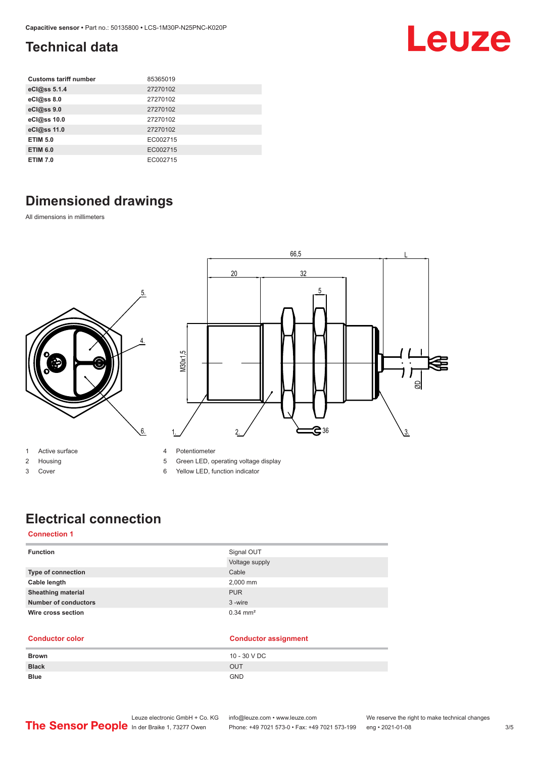### <span id="page-2-0"></span>**Technical data**

| <b>Customs tariff number</b> | 85365019 |
|------------------------------|----------|
| eCl@ss 5.1.4                 | 27270102 |
| eCl@ss 8.0                   | 27270102 |
| eCl@ss 9.0                   | 27270102 |
| eCl@ss 10.0                  | 27270102 |
| eCl@ss 11.0                  | 27270102 |
| <b>ETIM 5.0</b>              | EC002715 |
| <b>ETIM 6.0</b>              | EC002715 |
| <b>ETIM 7.0</b>              | EC002715 |

## **Dimensioned drawings**

All dimensions in millimeters



- 2 Housing
- 3 Cover
- 5 Green LED, operating voltage display
- 6 Yellow LED, function indicator

# **Electrical connection**

### **Connection 1**

| <b>Function</b>             | Signal OUT            |
|-----------------------------|-----------------------|
|                             | Voltage supply        |
| Type of connection          | Cable                 |
| Cable length                | 2,000 mm              |
| <b>Sheathing material</b>   | <b>PUR</b>            |
| <b>Number of conductors</b> | 3-wire                |
| Wire cross section          | $0.34 \, \text{mm}^2$ |

### **Conductor color Conductor assignment**

| <b>Brown</b> | 10 - 30 V DC |
|--------------|--------------|
| <b>Black</b> | <b>OUT</b>   |
| <b>Blue</b>  | <b>GND</b>   |

Leuze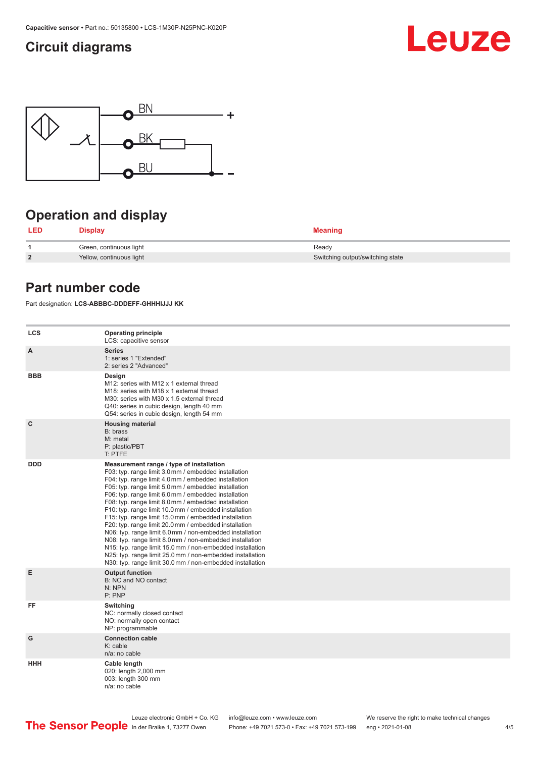### <span id="page-3-0"></span>**Circuit diagrams**





## **Operation and display**

| LED            | <b>Display</b>           | <b>Meaning</b>                   |
|----------------|--------------------------|----------------------------------|
|                | Green, continuous light  | Ready                            |
| $\overline{2}$ | Yellow, continuous light | Switching output/switching state |

### **Part number code**

Part designation: **LCS-ABBBC-DDDEFF-GHHHIJJJ KK**

| <b>LCS</b>   | <b>Operating principle</b><br>LCS: capacitive sensor                                                                                                                                                                                                                                                                                                                                                                                                                                                                                                                                                                                                                                                                                                                                                                       |
|--------------|----------------------------------------------------------------------------------------------------------------------------------------------------------------------------------------------------------------------------------------------------------------------------------------------------------------------------------------------------------------------------------------------------------------------------------------------------------------------------------------------------------------------------------------------------------------------------------------------------------------------------------------------------------------------------------------------------------------------------------------------------------------------------------------------------------------------------|
| $\mathsf{A}$ | <b>Series</b><br>1: series 1 "Extended"<br>2: series 2 "Advanced"                                                                                                                                                                                                                                                                                                                                                                                                                                                                                                                                                                                                                                                                                                                                                          |
| <b>BBB</b>   | Design<br>M12: series with M12 x 1 external thread<br>M18: series with M18 x 1 external thread<br>M30: series with M30 x 1.5 external thread<br>Q40: series in cubic design, length 40 mm<br>Q54: series in cubic design, length 54 mm                                                                                                                                                                                                                                                                                                                                                                                                                                                                                                                                                                                     |
| $\mathbf{C}$ | <b>Housing material</b><br>B: brass<br>M: metal<br>P: plastic/PBT<br>T: PTFE                                                                                                                                                                                                                                                                                                                                                                                                                                                                                                                                                                                                                                                                                                                                               |
| <b>DDD</b>   | Measurement range / type of installation<br>F03: typ. range limit 3.0 mm / embedded installation<br>F04: typ. range limit 4.0 mm / embedded installation<br>F05: typ. range limit 5.0 mm / embedded installation<br>F06: typ. range limit 6.0 mm / embedded installation<br>F08: typ. range limit 8.0 mm / embedded installation<br>F10: typ. range limit 10.0 mm / embedded installation<br>F15: typ. range limit 15.0 mm / embedded installation<br>F20: typ. range limit 20.0 mm / embedded installation<br>N06: typ. range limit 6.0 mm / non-embedded installation<br>N08: typ. range limit 8.0 mm / non-embedded installation<br>N15: typ. range limit 15.0 mm / non-embedded installation<br>N25: typ. range limit 25.0 mm / non-embedded installation<br>N30: typ. range limit 30.0 mm / non-embedded installation |
| E            | <b>Output function</b><br>B: NC and NO contact<br>N: NPN<br>P: PNP                                                                                                                                                                                                                                                                                                                                                                                                                                                                                                                                                                                                                                                                                                                                                         |
| FF           | Switching<br>NC: normally closed contact<br>NO: normally open contact<br>NP: programmable                                                                                                                                                                                                                                                                                                                                                                                                                                                                                                                                                                                                                                                                                                                                  |
| G            | <b>Connection cable</b><br>$K:$ cable<br>n/a: no cable                                                                                                                                                                                                                                                                                                                                                                                                                                                                                                                                                                                                                                                                                                                                                                     |
| <b>HHH</b>   | Cable length<br>020: length 2,000 mm<br>003: length 300 mm<br>n/a: no cable                                                                                                                                                                                                                                                                                                                                                                                                                                                                                                                                                                                                                                                                                                                                                |